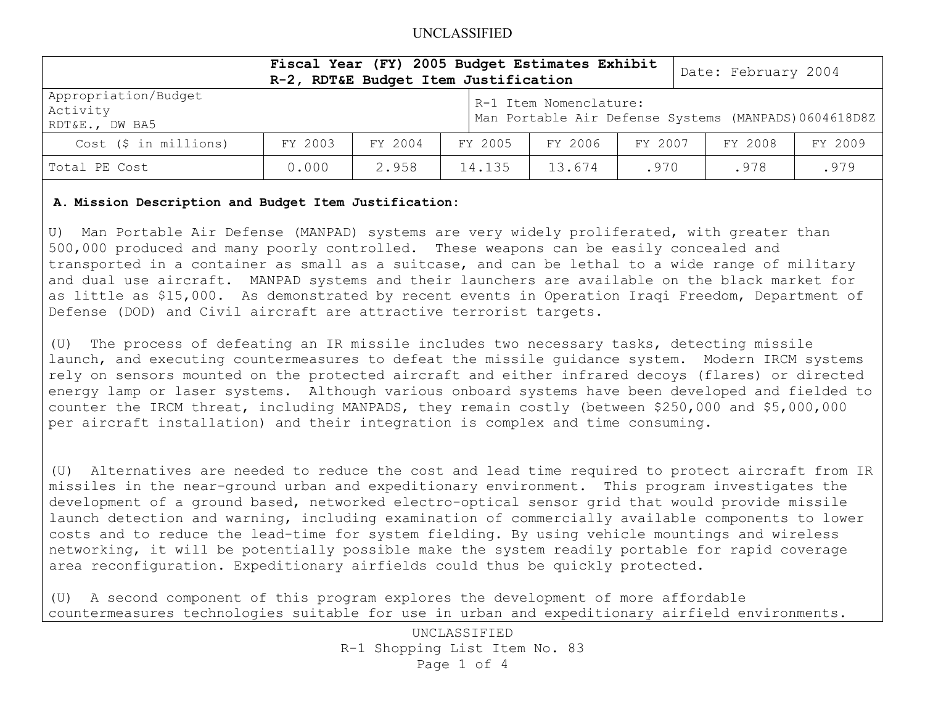## UNCLASSIFIED

|                                                    | Fiscal Year (FY) 2005 Budget Estimates Exhibit<br>R-2, RDT&E Budget Item Justification |         |  |         |                        |         | Date: February 2004                                   |         |
|----------------------------------------------------|----------------------------------------------------------------------------------------|---------|--|---------|------------------------|---------|-------------------------------------------------------|---------|
| Appropriation/Budget<br>Activity<br>RDT&E., DW BA5 |                                                                                        |         |  |         | R-1 Item Nomenclature: |         | Man Portable Air Defense Systems (MANPADS) 0604618D8Z |         |
| $Cost$ (\$ in millions)                            | FY 2003                                                                                | FY 2004 |  | FY 2005 | FY 2006                | FY 2007 | FY 2008                                               | FY 2009 |
| Total PE Cost                                      | 0.000                                                                                  | 2.958   |  | 14.135  | 13.674                 | .970    | .978                                                  | .979    |

### **A. Mission Description and Budget Item Justification:**

U) Man Portable Air Defense (MANPAD) systems are very widely proliferated, with greater than 500,000 produced and many poorly controlled. These weapons can be easily concealed and transported in a container as small as a suitcase, and can be lethal to a wide range of military and dual use aircraft. MANPAD systems and their launchers are available on the black market for as little as \$15,000. As demonstrated by recent events in Operation Iraqi Freedom, Department of Defense (DOD) and Civil aircraft are attractive terrorist targets.

(U) The process of defeating an IR missile includes two necessary tasks, detecting missile launch, and executing countermeasures to defeat the missile guidance system. Modern IRCM systems rely on sensors mounted on the protected aircraft and either infrared decoys (flares) or directed energy lamp or laser systems. Although various onboard systems have been developed and fielded to counter the IRCM threat, including MANPADS, they remain costly (between \$250,000 and \$5,000,000 per aircraft installation) and their integration is complex and time consuming.

(U) Alternatives are needed to reduce the cost and lead time required to protect aircraft from IR missiles in the near-ground urban and expeditionary environment. This program investigates the development of a ground based, networked electro-optical sensor grid that would provide missile launch detection and warning, including examination of commercially available components to lower costs and to reduce the lead-time for system fielding. By using vehicle mountings and wireless networking, it will be potentially possible make the system readily portable for rapid coverage area reconfiguration. Expeditionary airfields could thus be quickly protected.

(U) A second component of this program explores the development of more affordable countermeasures technologies suitable for use in urban and expeditionary airfield environments.

> UNCLASSIFIED R-1 Shopping List Item No. 83 Page 1 of 4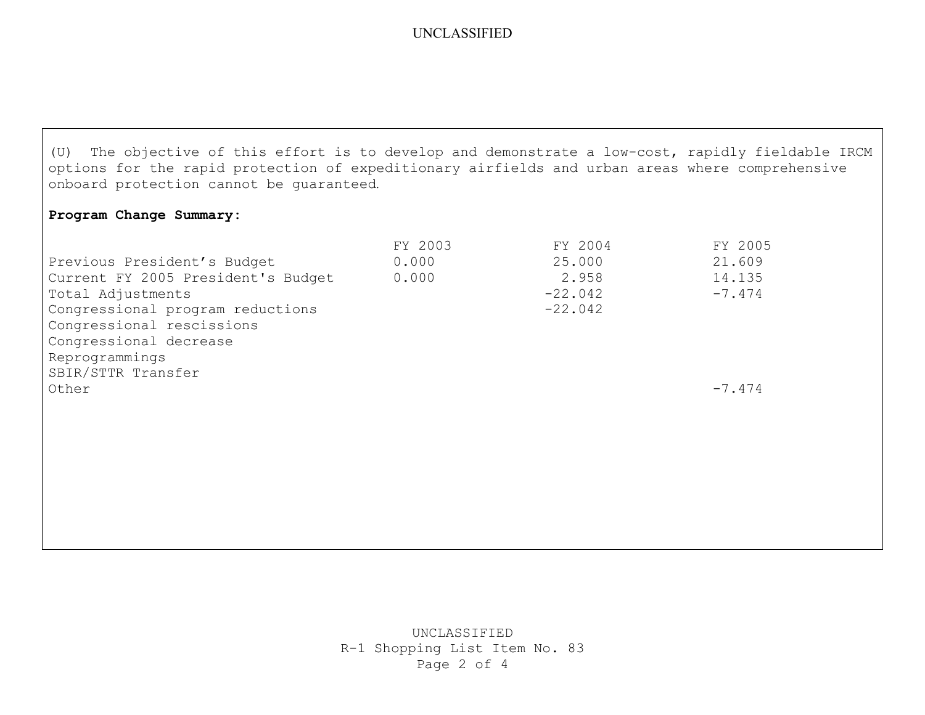# UNCLASSIFIED

(U) The objective of this effort is to develop and demonstrate a low-cost, rapidly fieldable IRCM options for the rapid protection of expeditionary airfields and urban areas where comprehensive onboard protection cannot be guaranteed.

## **Program Change Summary:**

|                                    | FY 2003 | FY 2004   | FY 2005  |
|------------------------------------|---------|-----------|----------|
| Previous President's Budget        | 0.000   | 25.000    | 21.609   |
| Current FY 2005 President's Budget | 0.000   | 2.958     | 14.135   |
| Total Adjustments                  |         | $-22.042$ | $-7.474$ |
| Congressional program reductions   |         | $-22.042$ |          |
| Congressional rescissions          |         |           |          |
| Congressional decrease             |         |           |          |
| Reprogrammings                     |         |           |          |
| SBIR/STTR Transfer                 |         |           |          |
| Other                              |         |           | $-7.474$ |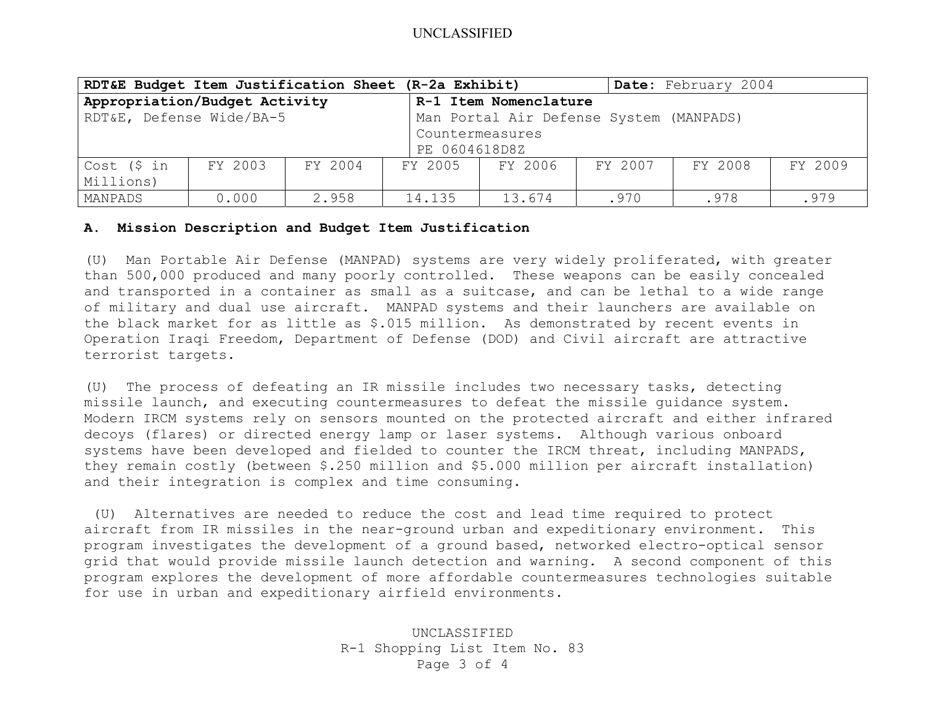| RDT&E Budget Item Justification Sheet (R-2a Exhibit) |         |               |         |                                         |         | Date: February 2004 |         |  |
|------------------------------------------------------|---------|---------------|---------|-----------------------------------------|---------|---------------------|---------|--|
| Appropriation/Budget Activity                        |         |               |         | R-1 Item Nomenclature                   |         |                     |         |  |
| RDT&E, Defense Wide/BA-5                             |         |               |         | Man Portal Air Defense System (MANPADS) |         |                     |         |  |
|                                                      |         |               |         | Countermeasures                         |         |                     |         |  |
|                                                      |         | PE 0604618D8Z |         |                                         |         |                     |         |  |
| Cost (\$ in                                          | FY 2003 | FY 2004       | FY 2005 | FY 2006                                 | FY 2007 | FY 2008             | FY 2009 |  |
| Millions)                                            |         |               |         |                                         |         |                     |         |  |
| MANPADS                                              | 0.000   | 2.958         | 14.135  | 13.674                                  | .970    | .978                | .979    |  |

#### **A. Mission Description and Budget Item Justification**

(U) Man Portable Air Defense (MANPAD) systems are very widely proliferated, with greater than 500,000 produced and many poorly controlled. These weapons can be easily concealed and transported in a container as small as a suitcase, and can be lethal to a wide range of military and dual use aircraft. MANPAD systems and their launchers are available on the black market for as little as \$.015 million. As demonstrated by recent events in Operation Iraqi Freedom, Department of Defense (DOD) and Civil aircraft are attractive terrorist targets.

(U) The process of defeating an IR missile includes two necessary tasks, detecting missile launch, and executing countermeasures to defeat the missile guidance system. Modern IRCM systems rely on sensors mounted on the protected aircraft and either infrared decoys (flares) or directed energy lamp or laser systems. Although various onboard systems have been developed and fielded to counter the IRCM threat, including MANPADS, they remain costly (between \$.250 million and \$5.000 million per aircraft installation) and their integration is complex and time consuming.

 (U) Alternatives are needed to reduce the cost and lead time required to protect aircraft from IR missiles in the near-ground urban and expeditionary environment. This program investigates the development of a ground based, networked electro-optical sensor grid that would provide missile launch detection and warning. A second component of this program explores the development of more affordable countermeasures technologies suitable for use in urban and expeditionary airfield environments.

> UNCLASSIFIED R-1 Shopping List Item No. 83 Page 3 of 4